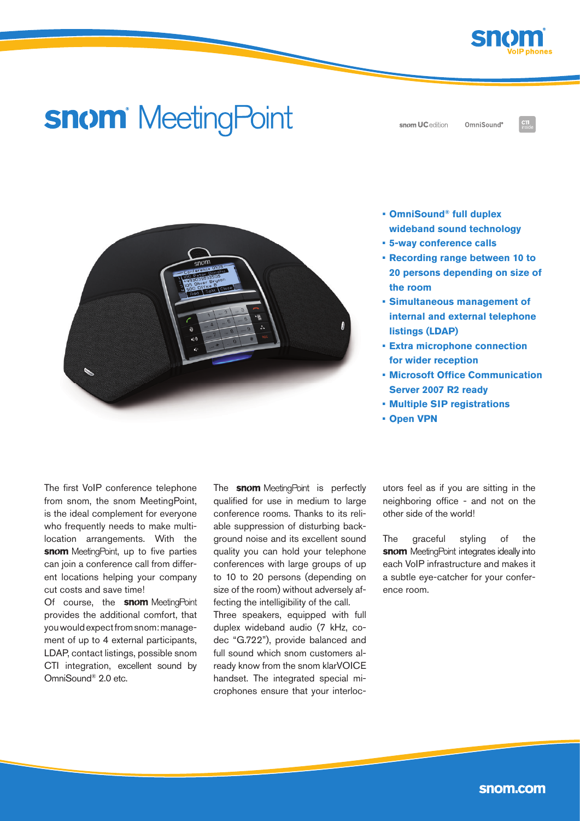

# **snom** MeetingPoint

snom UC edition

OmniSound®



- **• OmniSound® full duplex wideband sound technology**
- **5-way conference calls**
- **Recording range between 10 to 20 persons depending on size of the room**
- **Simultaneous management of internal and external telephone listings (LDAP)**
- **Extra microphone connection for wider reception**
- **Microsoft Office Communication Server 2007 R2 ready**
- **Multiple SIP registrations**
- **• Open VPN**

The first VoIP conference telephone from snom, the snom MeetingPoint, is the ideal complement for everyone who frequently needs to make multilocation arrangements. With the snom MeetingPoint, up to five parties can join a conference call from different locations helping your company cut costs and save time!

Of course, the **snom** MeetingPoint provides the additional comfort, that you would expect from snom: management of up to 4 external participants, LDAP, contact listings, possible snom CTI integration, excellent sound by OmniSound® 2.0 etc.

The **snom** MeetingPoint is perfectly qualified for use in medium to large conference rooms. Thanks to its reliable suppression of disturbing background noise and its excellent sound quality you can hold your telephone conferences with large groups of up to 10 to 20 persons (depending on size of the room) without adversely affecting the intelligibility of the call.

Three speakers, equipped with full duplex wideband audio (7 kHz, codec "G.722"), provide balanced and full sound which snom customers already know from the snom klarVOICE handset. The integrated special microphones ensure that your interlocutors feel as if you are sitting in the neighboring office - and not on the other side of the world!

The graceful styling of the snom MeetingPoint integrates ideally into each VoIP infrastructure and makes it a subtle eye-catcher for your conference room.